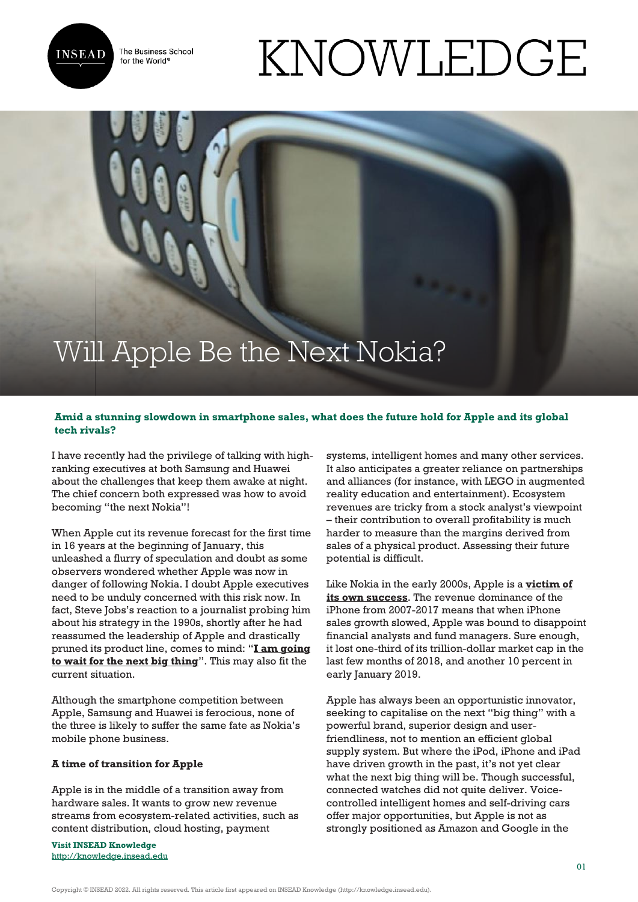The Business School for the World<sup>®</sup>



## KNOWLEDGE

# Will Apple Be the Next Nokia?

### **Amid a stunning slowdown in smartphone sales, what does the future hold for Apple and its global tech rivals?**

I have recently had the privilege of talking with highranking executives at both Samsung and Huawei about the challenges that keep them awake at night. The chief concern both expressed was how to avoid becoming "the next Nokia"!

When Apple cut its revenue forecast for the first time in 16 years at the beginning of January, this unleashed a flurry of speculation and doubt as some observers wondered whether Apple was now in danger of following Nokia. I doubt Apple executives need to be unduly concerned with this risk now. In fact, Steve Jobs's reaction to a journalist probing him about his strategy in the 1990s, shortly after he had reassumed the leadership of Apple and drastically pruned its product line, comes to mind: "**[I am going](https://www.zerohedge.com/news/2018-12-12/steve-jobs-secret-investing-public-markets) [to wait for the next big thing](https://www.zerohedge.com/news/2018-12-12/steve-jobs-secret-investing-public-markets)**". This may also fit the current situation.

Although the smartphone competition between Apple, Samsung and Huawei is ferocious, none of the three is likely to suffer the same fate as Nokia's mobile phone business.

#### **A time of transition for Apple**

Apple is in the middle of a transition away from hardware sales. It wants to grow new revenue streams from ecosystem-related activities, such as content distribution, cloud hosting, payment

**Visit INSEAD Knowledge** <http://knowledge.insead.edu>

systems, intelligent homes and many other services. It also anticipates a greater reliance on partnerships and alliances (for instance, with LEGO in augmented reality education and entertainment). Ecosystem revenues are tricky from a stock analyst's viewpoint – their contribution to overall profitability is much harder to measure than the margins derived from sales of a physical product. Assessing their future potential is difficult.

Like Nokia in the early 2000s, Apple is a **[victim of](https://knowledge.insead.edu/strategy/why-successful-companies-usually-fail-10001) [its own success](https://knowledge.insead.edu/strategy/why-successful-companies-usually-fail-10001)**. The revenue dominance of the iPhone from 2007-2017 means that when iPhone sales growth slowed, Apple was bound to disappoint financial analysts and fund managers. Sure enough, it lost one-third of its trillion-dollar market cap in the last few months of 2018, and another 10 percent in early January 2019.

Apple has always been an opportunistic innovator, seeking to capitalise on the next "big thing" with a powerful brand, superior design and userfriendliness, not to mention an efficient global supply system. But where the iPod, iPhone and iPad have driven growth in the past, it's not yet clear what the next big thing will be. Though successful, connected watches did not quite deliver. Voicecontrolled intelligent homes and self-driving cars offer major opportunities, but Apple is not as strongly positioned as Amazon and Google in the

Copyright © INSEAD 2022. All rights reserved. This article first appeared on INSEAD Knowledge (http://knowledge.insead.edu).